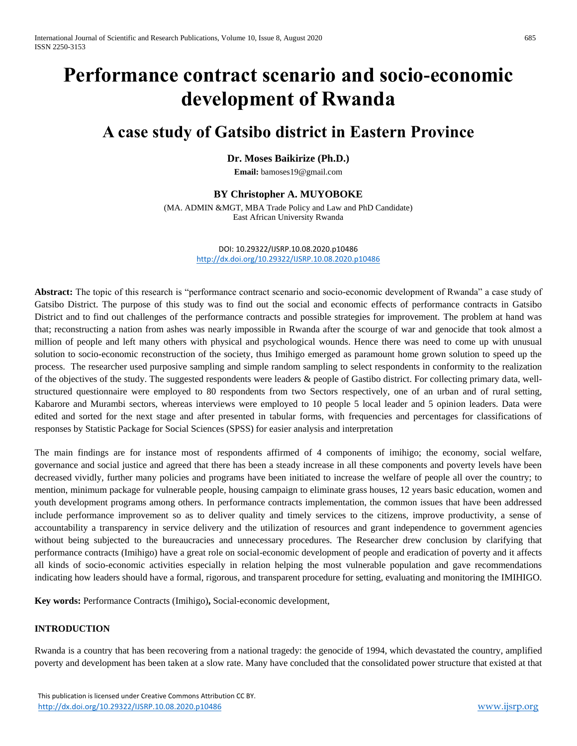# **Performance contract scenario and socio-economic development of Rwanda**

# **A case study of Gatsibo district in Eastern Province**

# **Dr. Moses Baikirize (Ph.D.)**

**Email:** [bamoses19@gmail.com](mailto:bamoses19@gmail.com)

# **BY Christopher A. MUYOBOKE**

(MA. ADMIN &MGT, MBA Trade Policy and Law and PhD Candidate) East African University Rwanda

> DOI: 10.29322/IJSRP.10.08.2020.p10486 <http://dx.doi.org/10.29322/IJSRP.10.08.2020.p10486>

**Abstract:** The topic of this research is "performance contract scenario and socio-economic development of Rwanda" a case study of Gatsibo District. The purpose of this study was to find out the social and economic effects of performance contracts in Gatsibo District and to find out challenges of the performance contracts and possible strategies for improvement. The problem at hand was that; reconstructing a nation from ashes was nearly impossible in Rwanda after the scourge of war and genocide that took almost a million of people and left many others with physical and psychological wounds. Hence there was need to come up with unusual solution to socio-economic reconstruction of the society, thus Imihigo emerged as paramount home grown solution to speed up the process. The researcher used purposive sampling and simple random sampling to select respondents in conformity to the realization of the objectives of the study. The suggested respondents were leaders & people of Gastibo district. For collecting primary data, wellstructured questionnaire were employed to 80 respondents from two Sectors respectively, one of an urban and of rural setting, Kabarore and Murambi sectors, whereas interviews were employed to 10 people 5 local leader and 5 opinion leaders. Data were edited and sorted for the next stage and after presented in tabular forms, with frequencies and percentages for classifications of responses by Statistic Package for Social Sciences (SPSS) for easier analysis and interpretation

The main findings are for instance most of respondents affirmed of 4 components of imihigo; the economy, social welfare, governance and social justice and agreed that there has been a steady increase in all these components and poverty levels have been decreased vividly, further many policies and programs have been initiated to increase the welfare of people all over the country; to mention, minimum package for vulnerable people, housing campaign to eliminate grass houses, 12 years basic education, women and youth development programs among others. In performance contracts implementation, the common issues that have been addressed include performance improvement so as to deliver quality and timely services to the citizens, improve productivity, a sense of accountability a transparency in service delivery and the utilization of resources and grant independence to government agencies without being subjected to the bureaucracies and unnecessary procedures. The Researcher drew conclusion by clarifying that performance contracts (Imihigo) have a great role on social-economic development of people and eradication of poverty and it affects all kinds of socio-economic activities especially in relation helping the most vulnerable population and gave recommendations indicating how leaders should have a formal, rigorous, and transparent procedure for setting, evaluating and monitoring the IMIHIGO.

**Key words:** Performance Contracts (Imihigo)**,** Social-economic development,

## **INTRODUCTION**

Rwanda is a country that has been recovering from a national tragedy: the genocide of 1994, which devastated the country, amplified poverty and development has been taken at a slow rate. Many have concluded that the consolidated power structure that existed at that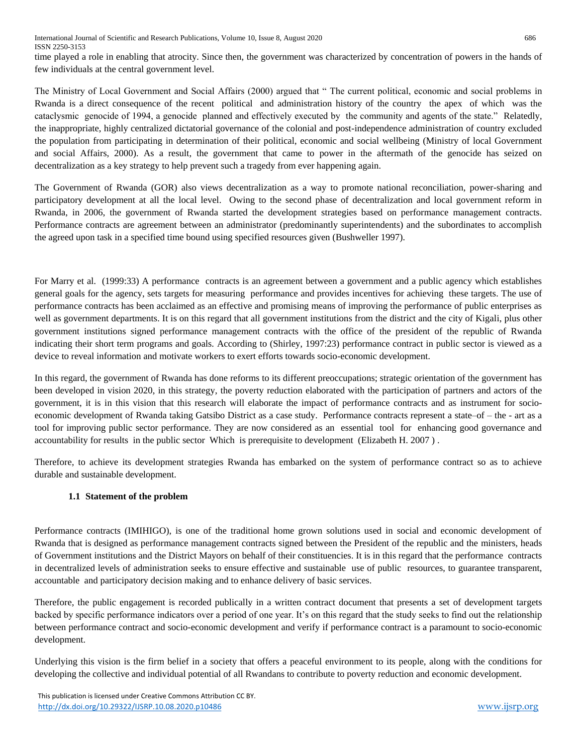time played a role in enabling that atrocity. Since then, the government was characterized by concentration of powers in the hands of few individuals at the central government level.

The Ministry of Local Government and Social Affairs (2000) argued that " The current political, economic and social problems in Rwanda is a direct consequence of the recent political and administration history of the country the apex of which was the cataclysmic genocide of 1994, a genocide planned and effectively executed by the community and agents of the state." Relatedly, the inappropriate, highly centralized dictatorial governance of the colonial and post-independence administration of country excluded the population from participating in determination of their political, economic and social wellbeing (Ministry of local Government and social Affairs, 2000). As a result, the government that came to power in the aftermath of the genocide has seized on decentralization as a key strategy to help prevent such a tragedy from ever happening again.

The Government of Rwanda (GOR) also views decentralization as a way to promote national reconciliation, power-sharing and participatory development at all the local level. Owing to the second phase of decentralization and local government reform in Rwanda, in 2006, the government of Rwanda started the development strategies based on performance management contracts. Performance contracts are agreement between an administrator (predominantly superintendents) and the subordinates to accomplish the agreed upon task in a specified time bound using specified resources given (Bushweller 1997).

For Marry et al. (1999:33) A performance contracts is an agreement between a government and a public agency which establishes general goals for the agency, sets targets for measuring performance and provides incentives for achieving these targets. The use of performance contracts has been acclaimed as an effective and promising means of improving the performance of public enterprises as well as government departments. It is on this regard that all government institutions from the district and the city of Kigali, plus other government institutions signed performance management contracts with the office of the president of the republic of Rwanda indicating their short term programs and goals. According to (Shirley, 1997:23) performance contract in public sector is viewed as a device to reveal information and motivate workers to exert efforts towards socio-economic development.

In this regard, the government of Rwanda has done reforms to its different preoccupations; strategic orientation of the government has been developed in vision 2020, in this strategy, the poverty reduction elaborated with the participation of partners and actors of the government, it is in this vision that this research will elaborate the impact of performance contracts and as instrument for socioeconomic development of Rwanda taking Gatsibo District as a case study. Performance contracts represent a state–of – the - art as a tool for improving public sector performance. They are now considered as an essential tool for enhancing good governance and accountability for results in the public sector Which is prerequisite to development (Elizabeth H. 2007 ) .

Therefore, to achieve its development strategies Rwanda has embarked on the system of performance contract so as to achieve durable and sustainable development.

# **1.1 Statement of the problem**

Performance contracts (IMIHIGO), is one of the traditional home grown solutions used in social and economic development of Rwanda that is designed as performance management contracts signed between the President of the republic and the ministers, heads of Government institutions and the District Mayors on behalf of their constituencies. It is in this regard that the performance contracts in decentralized levels of administration seeks to ensure effective and sustainable use of public resources, to guarantee transparent, accountable and participatory decision making and to enhance delivery of basic services.

Therefore, the public engagement is recorded publically in a written contract document that presents a set of development targets backed by specific performance indicators over a period of one year. It's on this regard that the study seeks to find out the relationship between performance contract and socio-economic development and verify if performance contract is a paramount to socio-economic development.

Underlying this vision is the firm belief in a society that offers a peaceful environment to its people, along with the conditions for developing the collective and individual potential of all Rwandans to contribute to poverty reduction and economic development.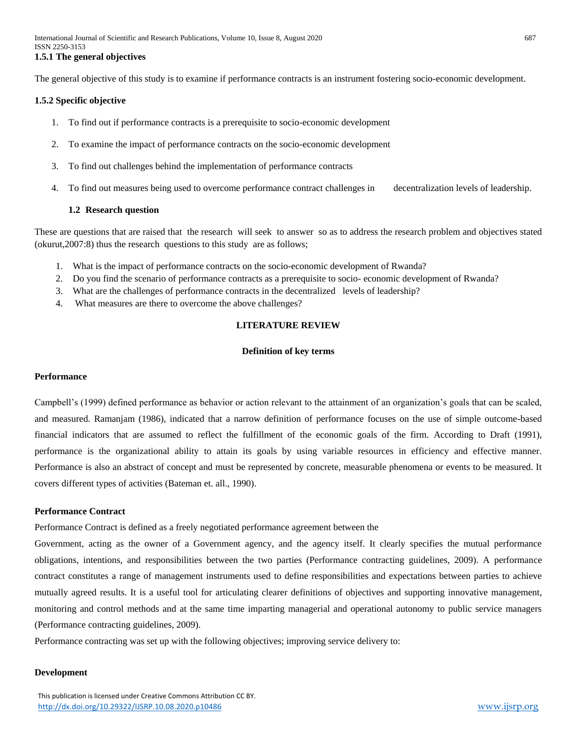The general objective of this study is to examine if performance contracts is an instrument fostering socio-economic development.

#### **1.5.2 Specific objective**

- 1. To find out if performance contracts is a prerequisite to socio-economic development
- 2. To examine the impact of performance contracts on the socio-economic development
- 3. To find out challenges behind the implementation of performance contracts
- 4. To find out measures being used to overcome performance contract challenges in decentralization levels of leadership.

#### **1.2 Research question**

These are questions that are raised that the research will seek to answer so as to address the research problem and objectives stated (okurut,2007:8) thus the research questions to this study are as follows;

- 1. What is the impact of performance contracts on the socio-economic development of Rwanda?
- 2. Do you find the scenario of performance contracts as a prerequisite to socio- economic development of Rwanda?
- 3. What are the challenges of performance contracts in the decentralized levels of leadership?
- 4. What measures are there to overcome the above challenges?

#### **LITERATURE REVIEW**

#### **Definition of key terms**

#### **Performance**

Campbell's (1999) defined performance as behavior or action relevant to the attainment of an organization's goals that can be scaled, and measured. Ramanjam (1986), indicated that a narrow definition of performance focuses on the use of simple outcome-based financial indicators that are assumed to reflect the fulfillment of the economic goals of the firm. According to Draft (1991), performance is the organizational ability to attain its goals by using variable resources in efficiency and effective manner. Performance is also an abstract of concept and must be represented by concrete, measurable phenomena or events to be measured. It covers different types of activities (Bateman et. all., 1990).

#### **Performance Contract**

Performance Contract is defined as a freely negotiated performance agreement between the

Government, acting as the owner of a Government agency, and the agency itself. It clearly specifies the mutual performance obligations, intentions, and responsibilities between the two parties (Performance contracting guidelines, 2009). A performance contract constitutes a range of management instruments used to define responsibilities and expectations between parties to achieve mutually agreed results. It is a useful tool for articulating clearer definitions of objectives and supporting innovative management, monitoring and control methods and at the same time imparting managerial and operational autonomy to public service managers (Performance contracting guidelines, 2009).

Performance contracting was set up with the following objectives; improving service delivery to:

#### **Development**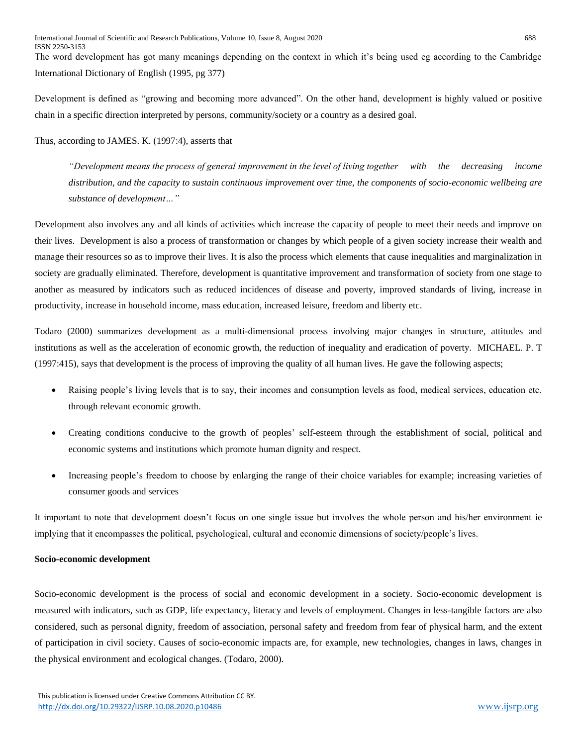The word development has got many meanings depending on the context in which it's being used eg according to the Cambridge International Dictionary of English (1995, pg 377)

Development is defined as "growing and becoming more advanced". On the other hand, development is highly valued or positive chain in a specific direction interpreted by persons, community/society or a country as a desired goal.

Thus, according to JAMES. K. (1997:4), asserts that

*"Development means the process of general improvement in the level of living together with the decreasing income distribution, and the capacity to sustain continuous improvement over time, the components of socio-economic wellbeing are substance of development…"*

Development also involves any and all kinds of activities which increase the capacity of people to meet their needs and improve on their lives. Development is also a process of transformation or changes by which people of a given society increase their wealth and manage their resources so as to improve their lives. It is also the process which elements that cause inequalities and marginalization in society are gradually eliminated. Therefore, development is quantitative improvement and transformation of society from one stage to another as measured by indicators such as reduced incidences of disease and poverty, improved standards of living, increase in productivity, increase in household income, mass education, increased leisure, freedom and liberty etc.

Todaro (2000) summarizes development as a multi-dimensional process involving major changes in structure, attitudes and institutions as well as the acceleration of economic growth, the reduction of inequality and eradication of poverty. MICHAEL. P. T (1997:415), says that development is the process of improving the quality of all human lives. He gave the following aspects;

- Raising people's living levels that is to say, their incomes and consumption levels as food, medical services, education etc. through relevant economic growth.
- Creating conditions conducive to the growth of peoples' self-esteem through the establishment of social, political and economic systems and institutions which promote human dignity and respect.
- Increasing people's freedom to choose by enlarging the range of their choice variables for example; increasing varieties of consumer goods and services

It important to note that development doesn't focus on one single issue but involves the whole person and his/her environment ie implying that it encompasses the political, psychological, cultural and economic dimensions of society/people's lives.

## **Socio-economic development**

Socio-economic development is the process of social and economic development in a society. Socio-economic development is measured with indicators, such as GDP, life expectancy, literacy and levels of employment. Changes in less-tangible factors are also considered, such as personal dignity, freedom of association, personal safety and freedom from fear of physical harm, and the extent of participation in civil society. Causes of socio-economic impacts are, for example, new technologies, changes in laws, changes in the physical environment and ecological changes. (Todaro, 2000).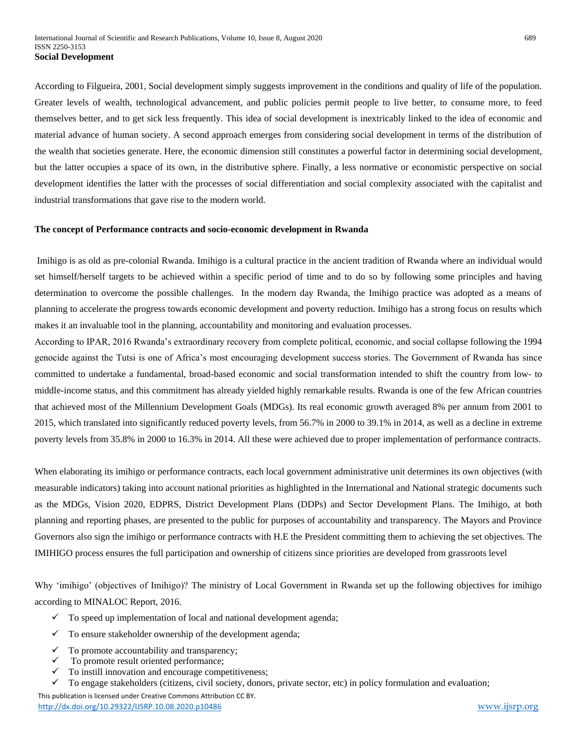According to Filgueira, 2001*,* Social development simply suggests improvement in the conditions and quality of life of the population. Greater levels of wealth, technological advancement, and public policies permit people to live better, to consume more, to feed themselves better, and to get sick less frequently. This idea of social development is inextricably linked to the idea of economic and material advance of human society. A second approach emerges from considering social development in terms of the distribution of the wealth that societies generate. Here, the economic dimension still constitutes a powerful factor in determining social development, but the latter occupies a space of its own, in the distributive sphere. Finally, a less normative or economistic perspective on social development identifies the latter with the processes of social differentiation and social complexity associated with the capitalist and industrial transformations that gave rise to the modern world.

#### **The concept of Performance contracts and socio-economic development in Rwanda**

Imihigo is as old as pre-colonial Rwanda. Imihigo is a cultural practice in the ancient tradition of Rwanda where an individual would set himself/herself targets to be achieved within a specific period of time and to do so by following some principles and having determination to overcome the possible challenges. In the modern day Rwanda, the Imihigo practice was adopted as a means of planning to accelerate the progress towards economic development and poverty reduction. Imihigo has a strong focus on results which makes it an invaluable tool in the planning, accountability and monitoring and evaluation processes.

According to IPAR, 2016 Rwanda's extraordinary recovery from complete political, economic, and social collapse following the 1994 genocide against the Tutsi is one of Africa's most encouraging development success stories. The Government of Rwanda has since committed to undertake a fundamental, broad-based economic and social transformation intended to shift the country from low- to middle-income status, and this commitment has already yielded highly remarkable results. Rwanda is one of the few African countries that achieved most of the Millennium Development Goals (MDGs). Its real economic growth averaged 8% per annum from 2001 to 2015, which translated into significantly reduced poverty levels, from 56.7% in 2000 to 39.1% in 2014, as well as a decline in extreme poverty levels from 35.8% in 2000 to 16.3% in 2014. All these were achieved due to proper implementation of performance contracts.

When elaborating its imihigo or performance contracts, each local government administrative unit determines its own objectives (with measurable indicators) taking into account national priorities as highlighted in the International and National strategic documents such as the MDGs, Vision 2020, EDPRS, District Development Plans (DDPs) and Sector Development Plans. The Imihigo, at both planning and reporting phases, are presented to the public for purposes of accountability and transparency. The Mayors and Province Governors also sign the imihigo or performance contracts with H.E the President committing them to achieving the set objectives. The IMIHIGO process ensures the full participation and ownership of citizens since priorities are developed from grassroots level

Why 'imihigo' (objectives of Imihigo)? The ministry of Local Government in Rwanda set up the following objectives for imihigo according to MINALOC Report, 2016.

- $\checkmark$  To speed up implementation of local and national development agenda;
- $\checkmark$  To ensure stakeholder ownership of the development agenda;
- To promote accountability and transparency;
- $\checkmark$  To promote result oriented performance;
- $\checkmark$  To instill innovation and encourage competitiveness;

 $\checkmark$  To engage stakeholders (citizens, civil society, donors, private sector, etc) in policy formulation and evaluation;

 This publication is licensed under Creative Commons Attribution CC BY. <http://dx.doi.org/10.29322/IJSRP.10.08.2020.p10486> www.iisrp.org www.iisrp.org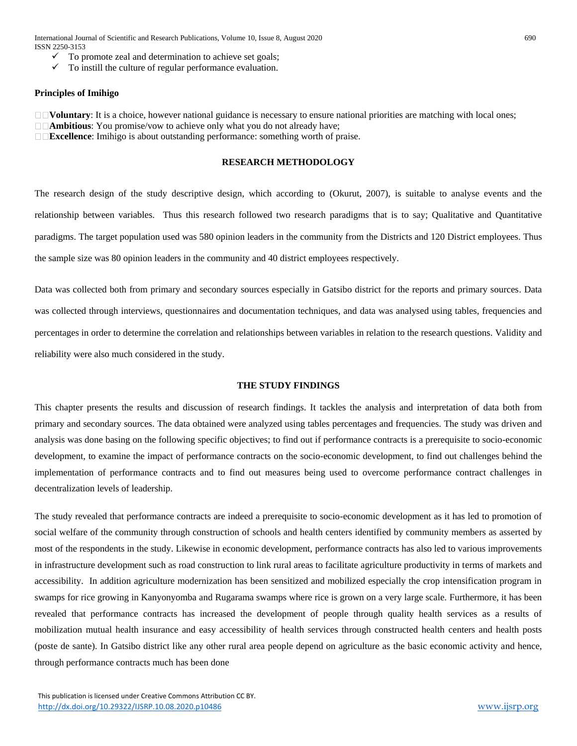International Journal of Scientific and Research Publications, Volume 10, Issue 8, August 2020 690 ISSN 2250-3153

- To promote zeal and determination to achieve set goals;
- To instill the culture of regular performance evaluation.

#### **Principles of Imihigo**

**IVoluntary:** It is a choice, however national guidance is necessary to ensure national priorities are matching with local ones;

**Ambitious**: You promise/vow to achieve only what you do not already have;

**Excellence**: Imihigo is about outstanding performance: something worth of praise.

#### **RESEARCH METHODOLOGY**

The research design of the study descriptive design, which according to (Okurut, 2007), is suitable to analyse events and the relationship between variables. Thus this research followed two research paradigms that is to say; Qualitative and Quantitative paradigms. The target population used was 580 opinion leaders in the community from the Districts and 120 District employees. Thus the sample size was 80 opinion leaders in the community and 40 district employees respectively.

Data was collected both from primary and secondary sources especially in Gatsibo district for the reports and primary sources. Data was collected through interviews, questionnaires and documentation techniques, and data was analysed using tables, frequencies and percentages in order to determine the correlation and relationships between variables in relation to the research questions. Validity and reliability were also much considered in the study.

#### **THE STUDY FINDINGS**

This chapter presents the results and discussion of research findings. It tackles the analysis and interpretation of data both from primary and secondary sources. The data obtained were analyzed using tables percentages and frequencies. The study was driven and analysis was done basing on the following specific objectives; to find out if performance contracts is a prerequisite to socio-economic development, to examine the impact of performance contracts on the socio-economic development, to find out challenges behind the implementation of performance contracts and to find out measures being used to overcome performance contract challenges in decentralization levels of leadership.

The study revealed that performance contracts are indeed a prerequisite to socio-economic development as it has led to promotion of social welfare of the community through construction of schools and health centers identified by community members as asserted by most of the respondents in the study. Likewise in economic development, performance contracts has also led to various improvements in infrastructure development such as road construction to link rural areas to facilitate agriculture productivity in terms of markets and accessibility. In addition agriculture modernization has been sensitized and mobilized especially the crop intensification program in swamps for rice growing in Kanyonyomba and Rugarama swamps where rice is grown on a very large scale. Furthermore, it has been revealed that performance contracts has increased the development of people through quality health services as a results of mobilization mutual health insurance and easy accessibility of health services through constructed health centers and health posts (poste de sante). In Gatsibo district like any other rural area people depend on agriculture as the basic economic activity and hence, through performance contracts much has been done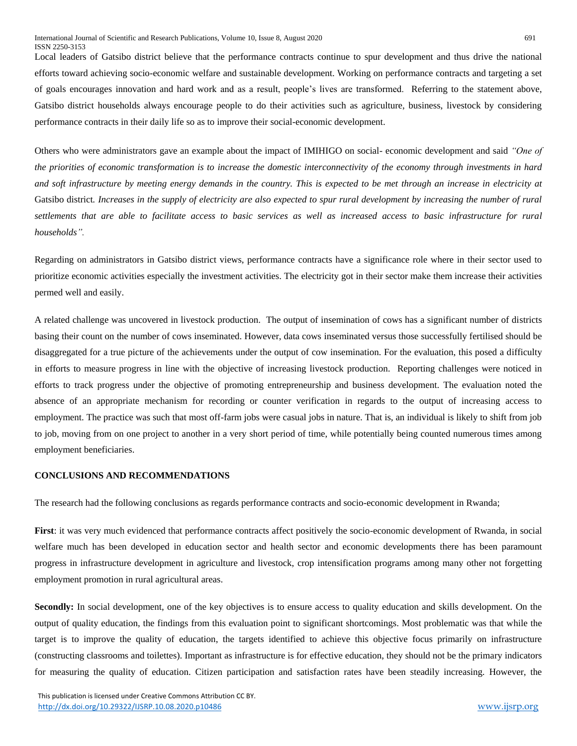Local leaders of Gatsibo district believe that the performance contracts continue to spur development and thus drive the national efforts toward achieving socio-economic welfare and sustainable development. Working on performance contracts and targeting a set of goals encourages innovation and hard work and as a result, people's lives are transformed. Referring to the statement above, Gatsibo district households always encourage people to do their activities such as agriculture, business, livestock by considering performance contracts in their daily life so as to improve their social-economic development.

Others who were administrators gave an example about the impact of IMIHIGO on social- economic development and said *"One of the priorities of economic transformation is to increase the domestic interconnectivity of the economy through investments in hard and soft infrastructure by meeting energy demands in the country. This is expected to be met through an increase in electricity at*  Gatsibo district*. Increases in the supply of electricity are also expected to spur rural development by increasing the number of rural settlements that are able to facilitate access to basic services as well as increased access to basic infrastructure for rural households".* 

Regarding on administrators in Gatsibo district views, performance contracts have a significance role where in their sector used to prioritize economic activities especially the investment activities. The electricity got in their sector make them increase their activities permed well and easily.

A related challenge was uncovered in livestock production. The output of insemination of cows has a significant number of districts basing their count on the number of cows inseminated. However, data cows inseminated versus those successfully fertilised should be disaggregated for a true picture of the achievements under the output of cow insemination. For the evaluation, this posed a difficulty in efforts to measure progress in line with the objective of increasing livestock production. Reporting challenges were noticed in efforts to track progress under the objective of promoting entrepreneurship and business development. The evaluation noted the absence of an appropriate mechanism for recording or counter verification in regards to the output of increasing access to employment. The practice was such that most off-farm jobs were casual jobs in nature. That is, an individual is likely to shift from job to job, moving from on one project to another in a very short period of time, while potentially being counted numerous times among employment beneficiaries.

#### **CONCLUSIONS AND RECOMMENDATIONS**

The research had the following conclusions as regards performance contracts and socio-economic development in Rwanda;

**First**: it was very much evidenced that performance contracts affect positively the socio-economic development of Rwanda, in social welfare much has been developed in education sector and health sector and economic developments there has been paramount progress in infrastructure development in agriculture and livestock, crop intensification programs among many other not forgetting employment promotion in rural agricultural areas.

Secondly: In social development, one of the key objectives is to ensure access to quality education and skills development. On the output of quality education, the findings from this evaluation point to significant shortcomings. Most problematic was that while the target is to improve the quality of education, the targets identified to achieve this objective focus primarily on infrastructure (constructing classrooms and toilettes). Important as infrastructure is for effective education, they should not be the primary indicators for measuring the quality of education. Citizen participation and satisfaction rates have been steadily increasing. However, the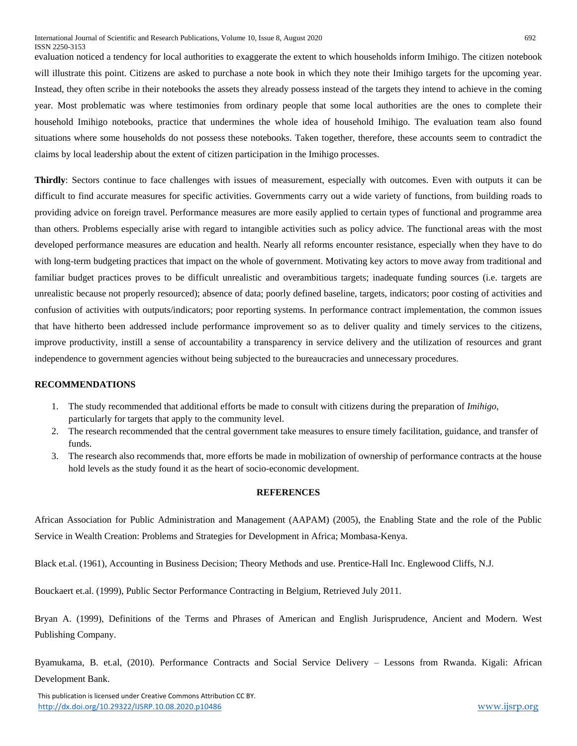evaluation noticed a tendency for local authorities to exaggerate the extent to which households inform Imihigo. The citizen notebook will illustrate this point. Citizens are asked to purchase a note book in which they note their Imihigo targets for the upcoming year. Instead, they often scribe in their notebooks the assets they already possess instead of the targets they intend to achieve in the coming year. Most problematic was where testimonies from ordinary people that some local authorities are the ones to complete their household Imihigo notebooks, practice that undermines the whole idea of household Imihigo. The evaluation team also found situations where some households do not possess these notebooks. Taken together, therefore, these accounts seem to contradict the claims by local leadership about the extent of citizen participation in the Imihigo processes.

**Thirdly**: Sectors continue to face challenges with issues of measurement, especially with outcomes. Even with outputs it can be difficult to find accurate measures for specific activities. Governments carry out a wide variety of functions, from building roads to providing advice on foreign travel. Performance measures are more easily applied to certain types of functional and programme area than others. Problems especially arise with regard to intangible activities such as policy advice. The functional areas with the most developed performance measures are education and health. Nearly all reforms encounter resistance, especially when they have to do with long-term budgeting practices that impact on the whole of government. Motivating key actors to move away from traditional and familiar budget practices proves to be difficult unrealistic and overambitious targets; inadequate funding sources (i.e. targets are unrealistic because not properly resourced); absence of data; poorly defined baseline, targets, indicators; poor costing of activities and confusion of activities with outputs/indicators; poor reporting systems. In performance contract implementation, the common issues that have hitherto been addressed include performance improvement so as to deliver quality and timely services to the citizens, improve productivity, instill a sense of accountability a transparency in service delivery and the utilization of resources and grant independence to government agencies without being subjected to the bureaucracies and unnecessary procedures.

#### **RECOMMENDATIONS**

- 1. The study recommended that additional efforts be made to consult with citizens during the preparation of *Imihigo*, particularly for targets that apply to the community level.
- 2. The research recommended that the central government take measures to ensure timely facilitation, guidance, and transfer of funds.
- 3. The research also recommends that, more efforts be made in mobilization of ownership of performance contracts at the house hold levels as the study found it as the heart of socio-economic development.

#### **REFERENCES**

African Association for Public Administration and Management (AAPAM) (2005), the Enabling State and the role of the Public Service in Wealth Creation: Problems and Strategies for Development in Africa; Mombasa-Kenya.

Black et.al. (1961), Accounting in Business Decision; Theory Methods and use. Prentice-Hall Inc. Englewood Cliffs, N.J.

Bouckaert et.al. (1999), Public Sector Performance Contracting in Belgium, Retrieved July 2011.

Bryan A. (1999), Definitions of the Terms and Phrases of American and English Jurisprudence, Ancient and Modern. West Publishing Company.

Byamukama, B. et.al, (2010). Performance Contracts and Social Service Delivery – Lessons from Rwanda. Kigali: African Development Bank.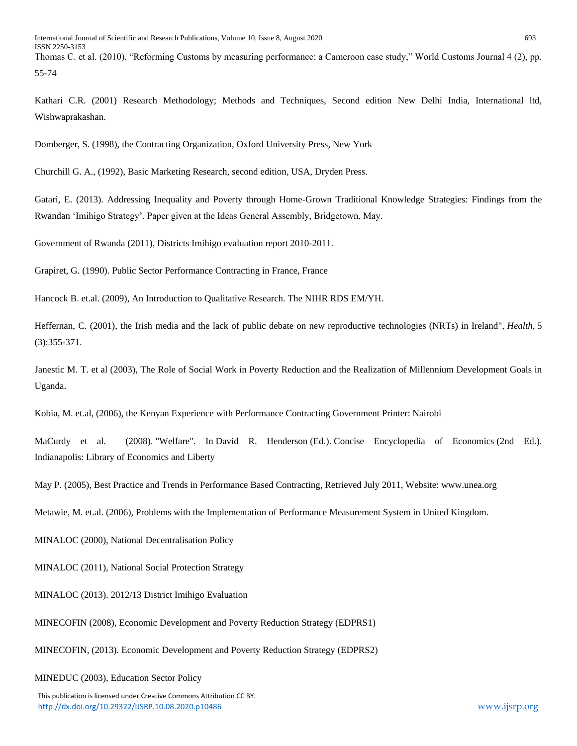Thomas C. et al. (2010), "Reforming Customs by measuring performance: a Cameroon case study," World Customs Journal 4 (2), pp. 55-74

Kathari C.R. (2001) Research Methodology; Methods and Techniques, Second edition New Delhi India, International ltd, Wishwaprakashan.

Domberger, S. (1998), the Contracting Organization, Oxford University Press, New York

Churchill G. A., (1992), Basic Marketing Research, second edition, USA, Dryden Press.

Gatari, E. (2013). Addressing Inequality and Poverty through Home-Grown Traditional Knowledge Strategies: Findings from the Rwandan 'Imihigo Strategy'. Paper given at the Ideas General Assembly, Bridgetown, May.

Government of Rwanda (2011), Districts Imihigo evaluation report 2010-2011.

Grapiret, G. (1990). Public Sector Performance Contracting in France, France

Hancock B. et.al. (2009), An Introduction to Qualitative Research. The NIHR RDS EM/YH.

Heffernan, C. (2001), the Irish media and the lack of public debate on new reproductive technologies (NRTs) in Ireland", *Health,* 5 (3):355-371.

Janestic M. T. et al (2003), The Role of Social Work in Poverty Reduction and the Realization of Millennium Development Goals in Uganda.

Kobia, M. et.al, (2006), the Kenyan Experience with Performance Contracting Government Printer: Nairobi

MaCurdy et al. (2008). "Welfare". In David R. Henderson (Ed.). Concise Encyclopedia of Economics (2nd Ed.). Indianapolis: Library of Economics and Liberty

May P. (2005), Best Practice and Trends in Performance Based Contracting, Retrieved July 2011, Website: www.unea.org

Metawie, M. et.al. (2006), Problems with the Implementation of Performance Measurement System in United Kingdom.

MINALOC (2000), National Decentralisation Policy

MINALOC (2011), National Social Protection Strategy

MINALOC (2013). 2012/13 District Imihigo Evaluation

MINECOFIN (2008), Economic Development and Poverty Reduction Strategy (EDPRS1)

MINECOFIN, (2013). Economic Development and Poverty Reduction Strategy (EDPRS2)

MINEDUC (2003), Education Sector Policy